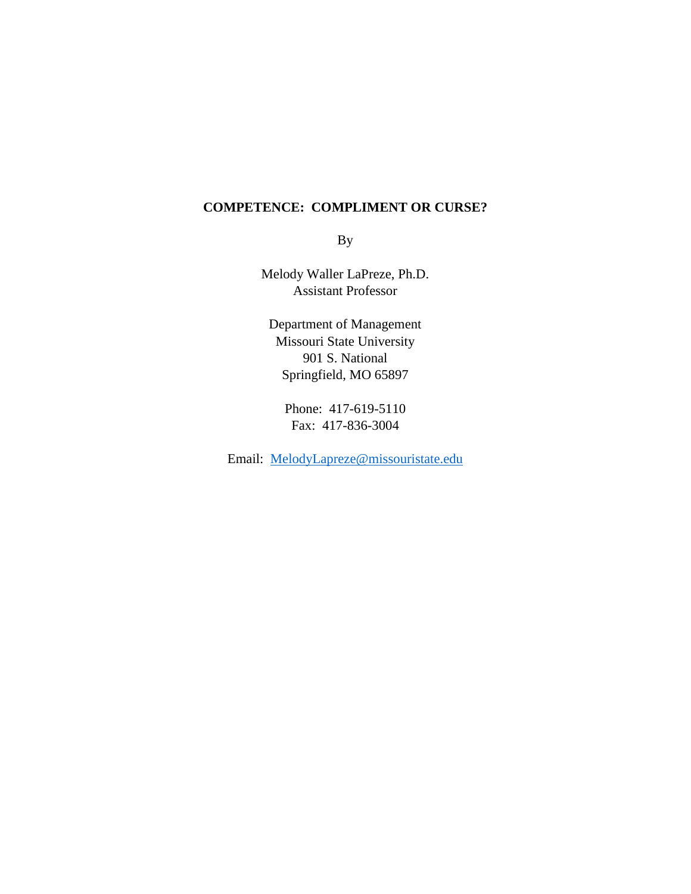# **COMPETENCE: COMPLIMENT OR CURSE?**

By

Melody Waller LaPreze, Ph.D. Assistant Professor

Department of Management Missouri State University 901 S. National Springfield, MO 65897

Phone: 417-619-5110 Fax: 417-836-3004

Email: [MelodyLapreze@missouristate.edu](mailto:MelodyLapreze@missouristate.edu)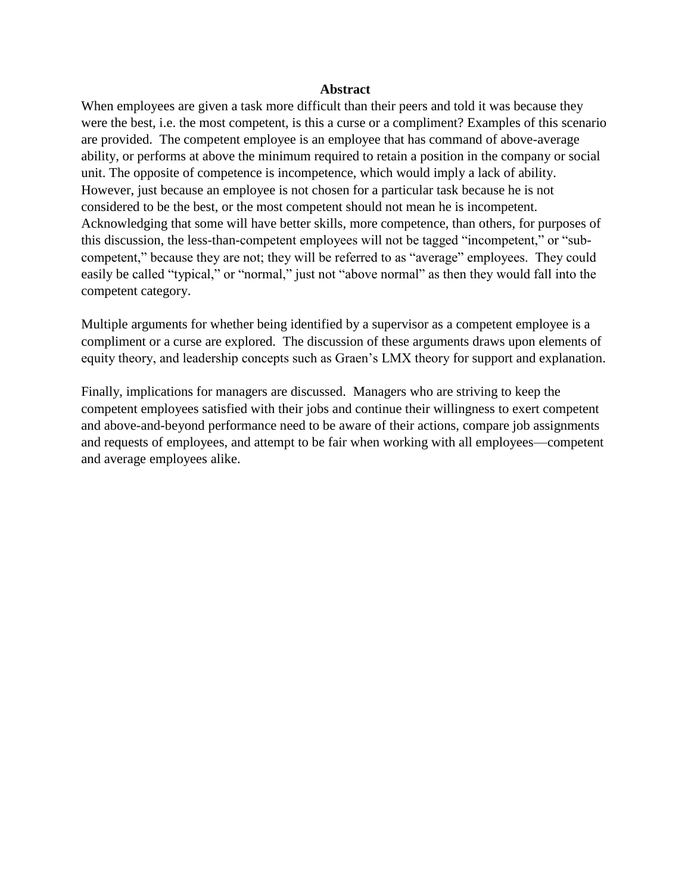#### **Abstract**

When employees are given a task more difficult than their peers and told it was because they were the best, i.e. the most competent, is this a curse or a compliment? Examples of this scenario are provided. The competent employee is an employee that has command of above-average ability, or performs at above the minimum required to retain a position in the company or social unit. The opposite of competence is incompetence, which would imply a lack of ability. However, just because an employee is not chosen for a particular task because he is not considered to be the best, or the most competent should not mean he is incompetent. Acknowledging that some will have better skills, more competence, than others, for purposes of this discussion, the less-than-competent employees will not be tagged "incompetent," or "subcompetent," because they are not; they will be referred to as "average" employees. They could easily be called "typical," or "normal," just not "above normal" as then they would fall into the competent category.

Multiple arguments for whether being identified by a supervisor as a competent employee is a compliment or a curse are explored. The discussion of these arguments draws upon elements of equity theory, and leadership concepts such as Graen's LMX theory for support and explanation.

Finally, implications for managers are discussed. Managers who are striving to keep the competent employees satisfied with their jobs and continue their willingness to exert competent and above-and-beyond performance need to be aware of their actions, compare job assignments and requests of employees, and attempt to be fair when working with all employees—competent and average employees alike.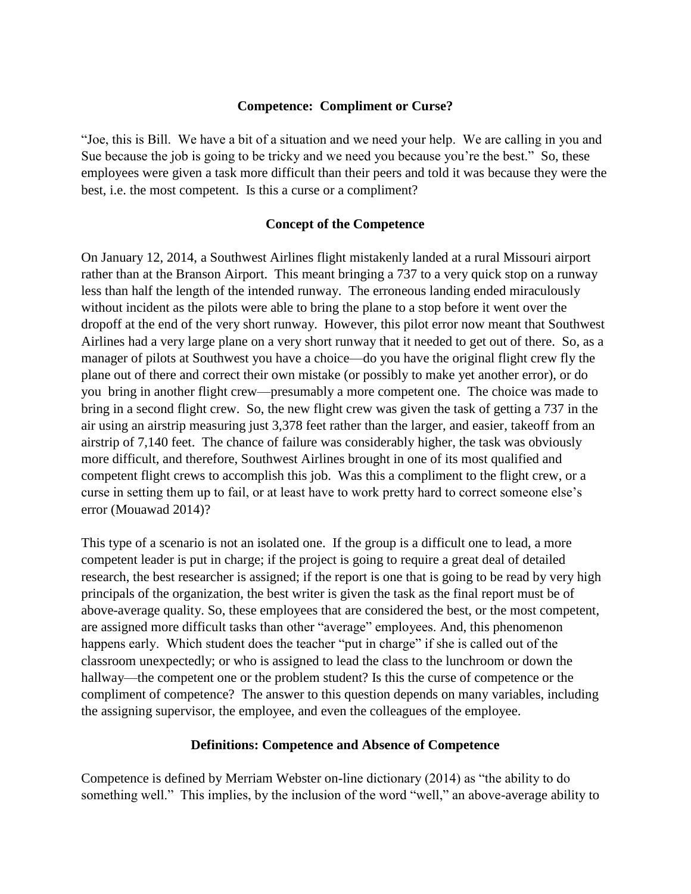# **Competence: Compliment or Curse?**

"Joe, this is Bill. We have a bit of a situation and we need your help. We are calling in you and Sue because the job is going to be tricky and we need you because you're the best." So, these employees were given a task more difficult than their peers and told it was because they were the best, i.e. the most competent. Is this a curse or a compliment?

# **Concept of the Competence**

On January 12, 2014, a Southwest Airlines flight mistakenly landed at a rural Missouri airport rather than at the Branson Airport. This meant bringing a 737 to a very quick stop on a runway less than half the length of the intended runway. The erroneous landing ended miraculously without incident as the pilots were able to bring the plane to a stop before it went over the dropoff at the end of the very short runway. However, this pilot error now meant that Southwest Airlines had a very large plane on a very short runway that it needed to get out of there. So, as a manager of pilots at Southwest you have a choice—do you have the original flight crew fly the plane out of there and correct their own mistake (or possibly to make yet another error), or do you bring in another flight crew—presumably a more competent one. The choice was made to bring in a second flight crew. So, the new flight crew was given the task of getting a 737 in the air using an airstrip measuring just 3,378 feet rather than the larger, and easier, takeoff from an airstrip of 7,140 feet. The chance of failure was considerably higher, the task was obviously more difficult, and therefore, Southwest Airlines brought in one of its most qualified and competent flight crews to accomplish this job. Was this a compliment to the flight crew, or a curse in setting them up to fail, or at least have to work pretty hard to correct someone else's error (Mouawad 2014)?

This type of a scenario is not an isolated one. If the group is a difficult one to lead, a more competent leader is put in charge; if the project is going to require a great deal of detailed research, the best researcher is assigned; if the report is one that is going to be read by very high principals of the organization, the best writer is given the task as the final report must be of above-average quality. So, these employees that are considered the best, or the most competent, are assigned more difficult tasks than other "average" employees. And, this phenomenon happens early. Which student does the teacher "put in charge" if she is called out of the classroom unexpectedly; or who is assigned to lead the class to the lunchroom or down the hallway—the competent one or the problem student? Is this the curse of competence or the compliment of competence? The answer to this question depends on many variables, including the assigning supervisor, the employee, and even the colleagues of the employee.

# **Definitions: Competence and Absence of Competence**

Competence is defined by Merriam Webster on-line dictionary (2014) as "the ability to do something well." This implies, by the inclusion of the word "well," an above-average ability to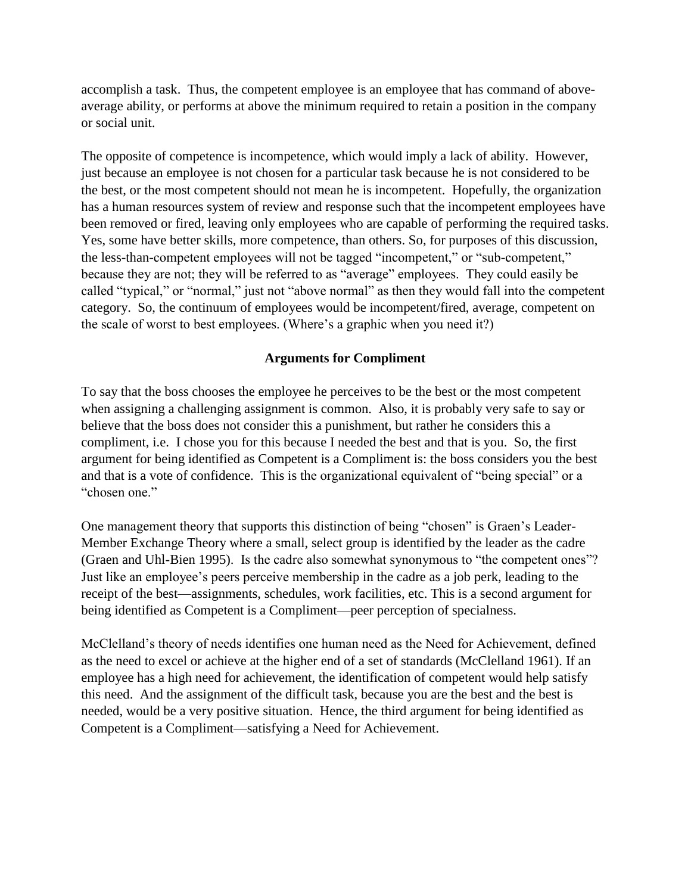accomplish a task. Thus, the competent employee is an employee that has command of aboveaverage ability, or performs at above the minimum required to retain a position in the company or social unit.

The opposite of competence is incompetence, which would imply a lack of ability. However, just because an employee is not chosen for a particular task because he is not considered to be the best, or the most competent should not mean he is incompetent. Hopefully, the organization has a human resources system of review and response such that the incompetent employees have been removed or fired, leaving only employees who are capable of performing the required tasks. Yes, some have better skills, more competence, than others. So, for purposes of this discussion, the less-than-competent employees will not be tagged "incompetent," or "sub-competent," because they are not; they will be referred to as "average" employees. They could easily be called "typical," or "normal," just not "above normal" as then they would fall into the competent category. So, the continuum of employees would be incompetent/fired, average, competent on the scale of worst to best employees. (Where's a graphic when you need it?)

# **Arguments for Compliment**

To say that the boss chooses the employee he perceives to be the best or the most competent when assigning a challenging assignment is common. Also, it is probably very safe to say or believe that the boss does not consider this a punishment, but rather he considers this a compliment, i.e. I chose you for this because I needed the best and that is you. So, the first argument for being identified as Competent is a Compliment is: the boss considers you the best and that is a vote of confidence. This is the organizational equivalent of "being special" or a "chosen one."

One management theory that supports this distinction of being "chosen" is Graen's Leader-Member Exchange Theory where a small, select group is identified by the leader as the cadre (Graen and Uhl-Bien 1995). Is the cadre also somewhat synonymous to "the competent ones"? Just like an employee's peers perceive membership in the cadre as a job perk, leading to the receipt of the best—assignments, schedules, work facilities, etc. This is a second argument for being identified as Competent is a Compliment—peer perception of specialness.

McClelland's theory of needs identifies one human need as the Need for Achievement, defined as the need to excel or achieve at the higher end of a set of standards (McClelland 1961). If an employee has a high need for achievement, the identification of competent would help satisfy this need. And the assignment of the difficult task, because you are the best and the best is needed, would be a very positive situation. Hence, the third argument for being identified as Competent is a Compliment—satisfying a Need for Achievement.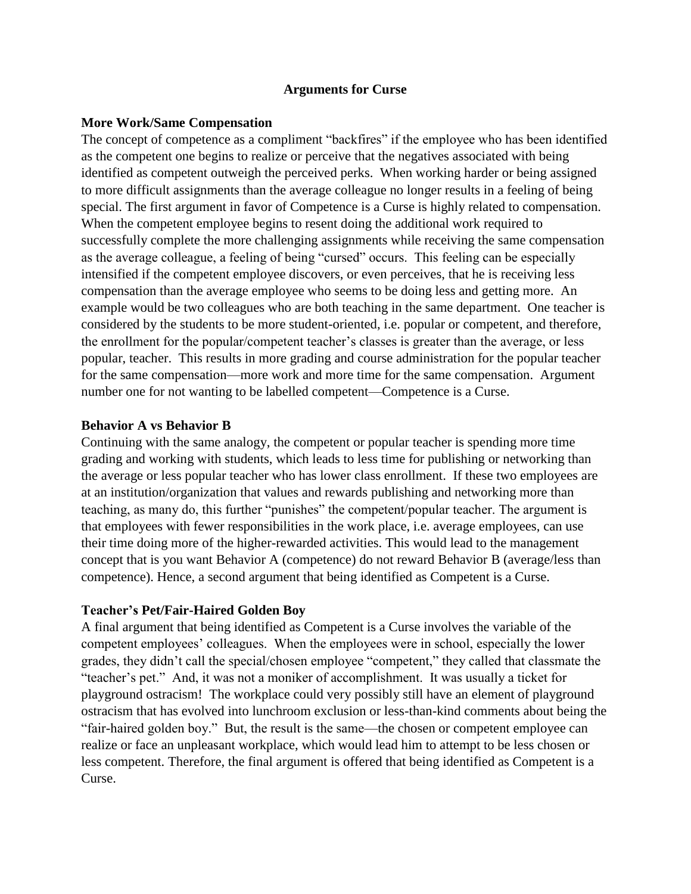# **Arguments for Curse**

# **More Work/Same Compensation**

The concept of competence as a compliment "backfires" if the employee who has been identified as the competent one begins to realize or perceive that the negatives associated with being identified as competent outweigh the perceived perks. When working harder or being assigned to more difficult assignments than the average colleague no longer results in a feeling of being special. The first argument in favor of Competence is a Curse is highly related to compensation. When the competent employee begins to resent doing the additional work required to successfully complete the more challenging assignments while receiving the same compensation as the average colleague, a feeling of being "cursed" occurs. This feeling can be especially intensified if the competent employee discovers, or even perceives, that he is receiving less compensation than the average employee who seems to be doing less and getting more. An example would be two colleagues who are both teaching in the same department. One teacher is considered by the students to be more student-oriented, i.e. popular or competent, and therefore, the enrollment for the popular/competent teacher's classes is greater than the average, or less popular, teacher. This results in more grading and course administration for the popular teacher for the same compensation—more work and more time for the same compensation. Argument number one for not wanting to be labelled competent—Competence is a Curse.

# **Behavior A vs Behavior B**

Continuing with the same analogy, the competent or popular teacher is spending more time grading and working with students, which leads to less time for publishing or networking than the average or less popular teacher who has lower class enrollment. If these two employees are at an institution/organization that values and rewards publishing and networking more than teaching, as many do, this further "punishes" the competent/popular teacher. The argument is that employees with fewer responsibilities in the work place, i.e. average employees, can use their time doing more of the higher-rewarded activities. This would lead to the management concept that is you want Behavior A (competence) do not reward Behavior B (average/less than competence). Hence, a second argument that being identified as Competent is a Curse.

#### **Teacher's Pet/Fair-Haired Golden Boy**

A final argument that being identified as Competent is a Curse involves the variable of the competent employees' colleagues. When the employees were in school, especially the lower grades, they didn't call the special/chosen employee "competent," they called that classmate the "teacher's pet." And, it was not a moniker of accomplishment. It was usually a ticket for playground ostracism! The workplace could very possibly still have an element of playground ostracism that has evolved into lunchroom exclusion or less-than-kind comments about being the "fair-haired golden boy." But, the result is the same—the chosen or competent employee can realize or face an unpleasant workplace, which would lead him to attempt to be less chosen or less competent. Therefore, the final argument is offered that being identified as Competent is a Curse.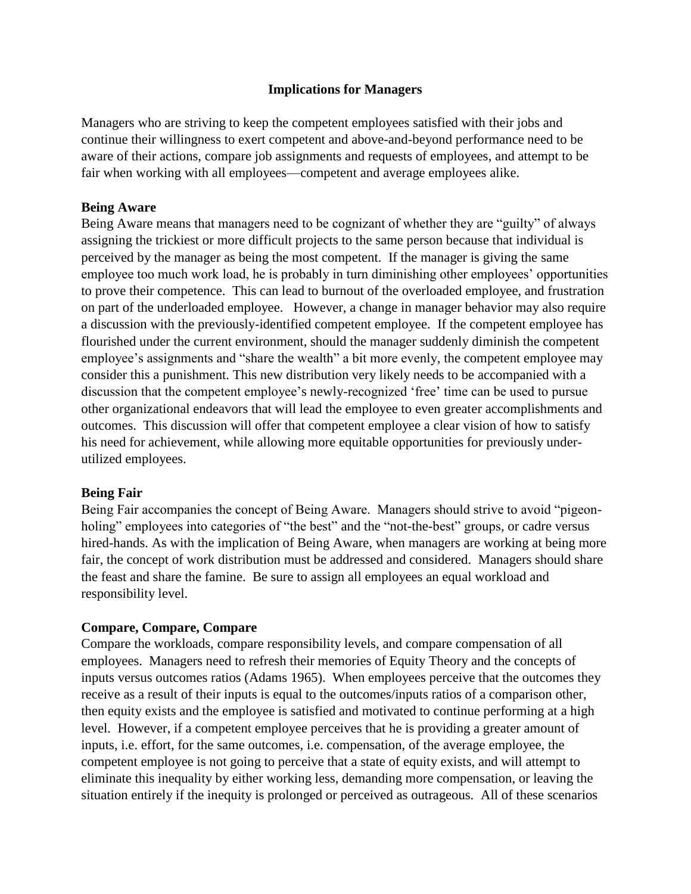# **Implications for Managers**

Managers who are striving to keep the competent employees satisfied with their jobs and continue their willingness to exert competent and above-and-beyond performance need to be aware of their actions, compare job assignments and requests of employees, and attempt to be fair when working with all employees—competent and average employees alike.

# **Being Aware**

Being Aware means that managers need to be cognizant of whether they are "guilty" of always assigning the trickiest or more difficult projects to the same person because that individual is perceived by the manager as being the most competent. If the manager is giving the same employee too much work load, he is probably in turn diminishing other employees' opportunities to prove their competence. This can lead to burnout of the overloaded employee, and frustration on part of the underloaded employee. However, a change in manager behavior may also require a discussion with the previously-identified competent employee. If the competent employee has flourished under the current environment, should the manager suddenly diminish the competent employee's assignments and "share the wealth" a bit more evenly, the competent employee may consider this a punishment. This new distribution very likely needs to be accompanied with a discussion that the competent employee's newly-recognized 'free' time can be used to pursue other organizational endeavors that will lead the employee to even greater accomplishments and outcomes. This discussion will offer that competent employee a clear vision of how to satisfy his need for achievement, while allowing more equitable opportunities for previously underutilized employees.

# **Being Fair**

Being Fair accompanies the concept of Being Aware. Managers should strive to avoid "pigeonholing" employees into categories of "the best" and the "not-the-best" groups, or cadre versus hired-hands. As with the implication of Being Aware, when managers are working at being more fair, the concept of work distribution must be addressed and considered. Managers should share the feast and share the famine. Be sure to assign all employees an equal workload and responsibility level.

# **Compare, Compare, Compare**

Compare the workloads, compare responsibility levels, and compare compensation of all employees. Managers need to refresh their memories of Equity Theory and the concepts of inputs versus outcomes ratios (Adams 1965). When employees perceive that the outcomes they receive as a result of their inputs is equal to the outcomes/inputs ratios of a comparison other, then equity exists and the employee is satisfied and motivated to continue performing at a high level. However, if a competent employee perceives that he is providing a greater amount of inputs, i.e. effort, for the same outcomes, i.e. compensation, of the average employee, the competent employee is not going to perceive that a state of equity exists, and will attempt to eliminate this inequality by either working less, demanding more compensation, or leaving the situation entirely if the inequity is prolonged or perceived as outrageous. All of these scenarios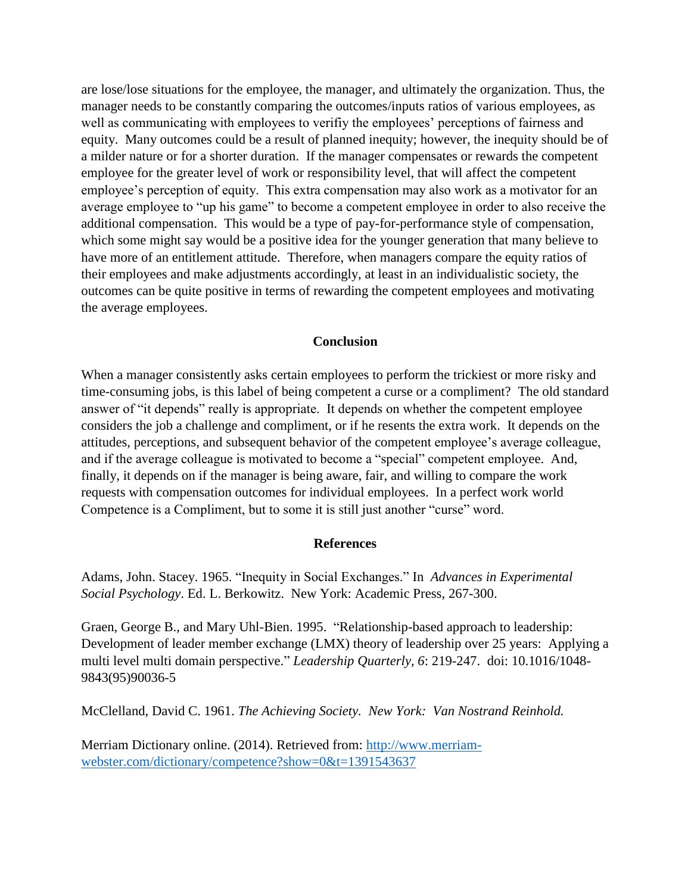are lose/lose situations for the employee, the manager, and ultimately the organization. Thus, the manager needs to be constantly comparing the outcomes/inputs ratios of various employees, as well as communicating with employees to verifiy the employees' perceptions of fairness and equity. Many outcomes could be a result of planned inequity; however, the inequity should be of a milder nature or for a shorter duration. If the manager compensates or rewards the competent employee for the greater level of work or responsibility level, that will affect the competent employee's perception of equity. This extra compensation may also work as a motivator for an average employee to "up his game" to become a competent employee in order to also receive the additional compensation. This would be a type of pay-for-performance style of compensation, which some might say would be a positive idea for the younger generation that many believe to have more of an entitlement attitude. Therefore, when managers compare the equity ratios of their employees and make adjustments accordingly, at least in an individualistic society, the outcomes can be quite positive in terms of rewarding the competent employees and motivating the average employees.

# **Conclusion**

When a manager consistently asks certain employees to perform the trickiest or more risky and time-consuming jobs, is this label of being competent a curse or a compliment? The old standard answer of "it depends" really is appropriate. It depends on whether the competent employee considers the job a challenge and compliment, or if he resents the extra work. It depends on the attitudes, perceptions, and subsequent behavior of the competent employee's average colleague, and if the average colleague is motivated to become a "special" competent employee. And, finally, it depends on if the manager is being aware, fair, and willing to compare the work requests with compensation outcomes for individual employees. In a perfect work world Competence is a Compliment, but to some it is still just another "curse" word.

#### **References**

Adams, John. Stacey. 1965. "Inequity in Social Exchanges." In *Advances in Experimental Social Psychology*. Ed. L. Berkowitz. New York: Academic Press, 267-300.

Graen, George B., and Mary Uhl-Bien. 1995. "Relationship-based approach to leadership: Development of leader member exchange (LMX) theory of leadership over 25 years: Applying a multi level multi domain perspective." *Leadership Quarterly, 6*: 219-247. doi: 10.1016/1048- 9843(95)90036-5

McClelland, David C. 1961. *The Achieving Society. New York: Van Nostrand Reinhold.*

Merriam Dictionary online. (2014). Retrieved from: [http://www.merriam](http://www.merriam-webster.com/dictionary/competence?show=0&t=1391543637)[webster.com/dictionary/competence?show=0&t=1391543637](http://www.merriam-webster.com/dictionary/competence?show=0&t=1391543637)